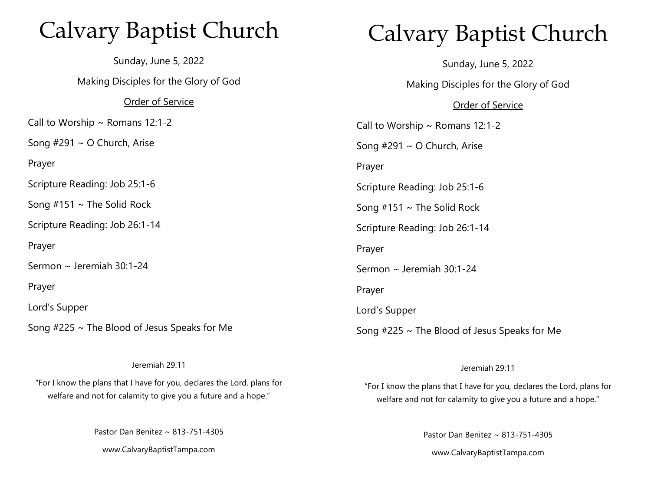# Calvary Baptist Church

Sunday, June 5, 2022 Making Disciples for the Glory of God Order of Service Call to Worship  $\sim$  Romans 12:1-2 Song #291 ~ O Church, Arise Prayer Scripture Reading: Job 25:1-6 Song  $#151 \sim$  The Solid Rock Scripture Reading: Job 26:1-14 Prayer Sermon ~ Jeremiah 30:1-24 Prayer Lord's Supper Song #225 ~ The Blood of Jesus Speaks for Me

#### Jeremiah 29:11

"For I know the plans that I have for you, declares the Lord, plans for welfare and not for calamity to give you a future and a hope."

Pastor Dan Benitez ~ 813-751-4305

www.CalvaryBaptistTampa.com

# Calvary Baptist Church

Sunday, June 5, 2022

Making Disciples for the Glory of God

### Order of Service

Call to Worship  $\sim$  Romans 12:1-2 Song #291 ~ O Church, Arise Prayer Scripture Reading: Job 25:1-6 Song  $#151 \sim$  The Solid Rock Scripture Reading: Job 26:1-14 Prayer Sermon ~ Jeremiah 30:1-24 Prayer Lord's Supper Song #225 ~ The Blood of Jesus Speaks for Me

### Jeremiah 29:11

"For I know the plans that I have for you, declares the Lord, plans for welfare and not for calamity to give you a future and a hope."

> Pastor Dan Benitez ~ 813-751-4305 www.CalvaryBaptistTampa.com